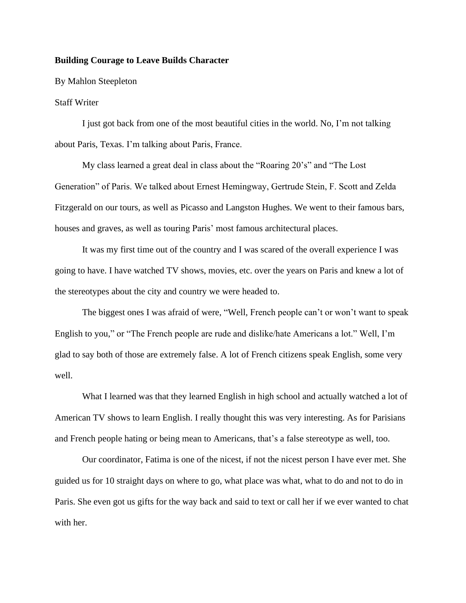## **Building Courage to Leave Builds Character**

By Mahlon Steepleton

## Staff Writer

I just got back from one of the most beautiful cities in the world. No, I'm not talking about Paris, Texas. I'm talking about Paris, France.

My class learned a great deal in class about the "Roaring 20's" and "The Lost Generation" of Paris. We talked about Ernest Hemingway, Gertrude Stein, F. Scott and Zelda Fitzgerald on our tours, as well as Picasso and Langston Hughes. We went to their famous bars, houses and graves, as well as touring Paris' most famous architectural places.

It was my first time out of the country and I was scared of the overall experience I was going to have. I have watched TV shows, movies, etc. over the years on Paris and knew a lot of the stereotypes about the city and country we were headed to.

The biggest ones I was afraid of were, "Well, French people can't or won't want to speak English to you," or "The French people are rude and dislike/hate Americans a lot." Well, I'm glad to say both of those are extremely false. A lot of French citizens speak English, some very well.

What I learned was that they learned English in high school and actually watched a lot of American TV shows to learn English. I really thought this was very interesting. As for Parisians and French people hating or being mean to Americans, that's a false stereotype as well, too.

Our coordinator, Fatima is one of the nicest, if not the nicest person I have ever met. She guided us for 10 straight days on where to go, what place was what, what to do and not to do in Paris. She even got us gifts for the way back and said to text or call her if we ever wanted to chat with her.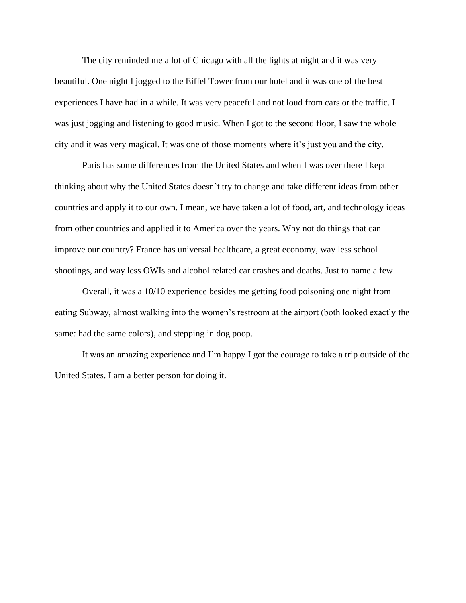The city reminded me a lot of Chicago with all the lights at night and it was very beautiful. One night I jogged to the Eiffel Tower from our hotel and it was one of the best experiences I have had in a while. It was very peaceful and not loud from cars or the traffic. I was just jogging and listening to good music. When I got to the second floor, I saw the whole city and it was very magical. It was one of those moments where it's just you and the city.

Paris has some differences from the United States and when I was over there I kept thinking about why the United States doesn't try to change and take different ideas from other countries and apply it to our own. I mean, we have taken a lot of food, art, and technology ideas from other countries and applied it to America over the years. Why not do things that can improve our country? France has universal healthcare, a great economy, way less school shootings, and way less OWIs and alcohol related car crashes and deaths. Just to name a few.

Overall, it was a 10/10 experience besides me getting food poisoning one night from eating Subway, almost walking into the women's restroom at the airport (both looked exactly the same: had the same colors), and stepping in dog poop.

It was an amazing experience and I'm happy I got the courage to take a trip outside of the United States. I am a better person for doing it.